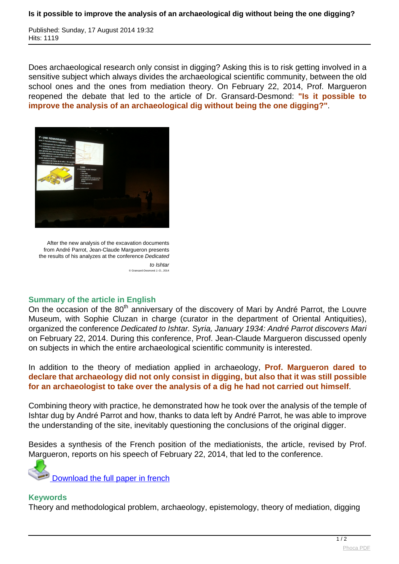Published: Sunday, 17 August 2014 19:32 Hits: 1119

Does archaeological research only consist in digging? Asking this is to risk getting involved in a sensitive subject which always divides the archaeological scientific community, between the old school ones and the ones from mediation theory. On February 22, 2014, Prof. Margueron reopened the debate that led to the article of Dr. Gransard-Desmond: **"Is it possible to improve the analysis of an archaeological dig without being the one digging?"**.



After the new analysis of the excavation documents from André Parrot, Jean-Claude Margueron presents the results of his analyzes at the conference Dedicated to Ishtar © Gransard-Desmond J.-O., 2014

## **Summary of the article in English**

On the occasion of the 80<sup>th</sup> anniversary of the discovery of Mari by André Parrot, the Louvre Museum, with Sophie Cluzan in charge (curator in the department of Oriental Antiquities), organized the conference Dedicated to Ishtar. Syria, January 1934: André Parrot discovers Mari on February 22, 2014. During this conference, Prof. Jean-Claude Margueron discussed openly on subjects in which the entire archaeological scientific community is interested.

In addition to the theory of mediation applied in archaeology, **Prof. Margueron dared to declare that archaeology did not only consist in digging, but also that it was still possible for an archaeologist to take over the analysis of a dig he had not carried out himself**.

Combining theory with practice, he demonstrated how he took over the analysis of the temple of Ishtar dug by André Parrot and how, thanks to data left by André Parrot, he was able to improve the understanding of the site, inevitably questioning the conclusions of the original digger.

Besides a synthesis of the French position of the mediationists, the article, revised by Prof. Margueron, reports on his speech of February 22, 2014, that led to the conference.



## **Keywords**

Theory and methodological problem, archaeology, epistemology, theory of mediation, digging